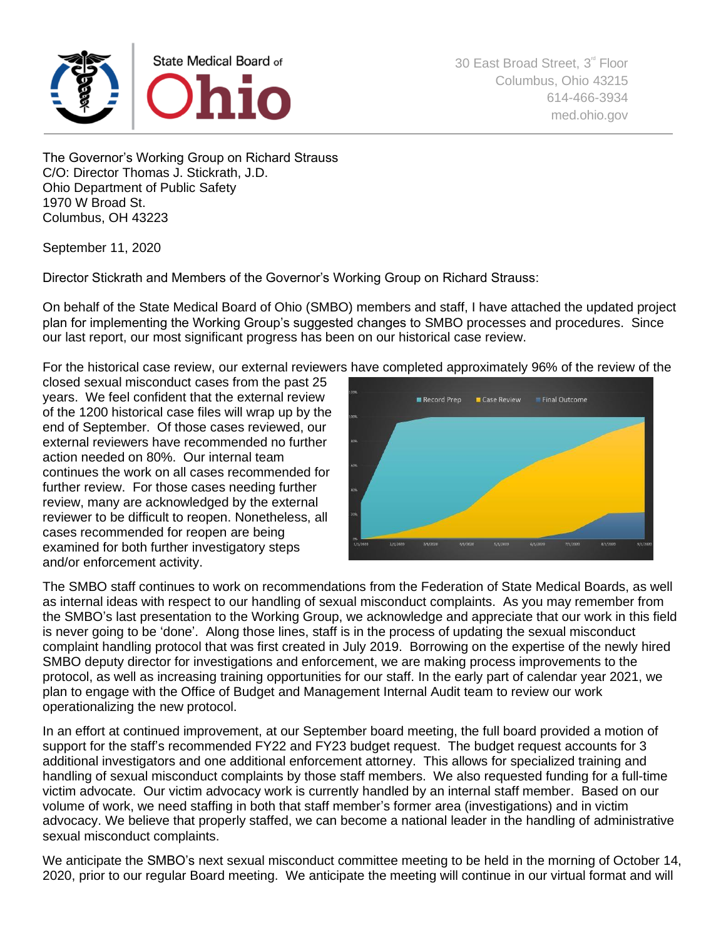

The Governor's Working Group on Richard Strauss C/O: Director Thomas J. Stickrath, J.D. Ohio Department of Public Safety 1970 W Broad St. Columbus, OH 43223

September 11, 2020

Director Stickrath and Members of the Governor's Working Group on Richard Strauss:

On behalf of the State Medical Board of Ohio (SMBO) members and staff, I have attached the updated project plan for implementing the Working Group's suggested changes to SMBO processes and procedures. Since our last report, our most significant progress has been on our historical case review.

For the historical case review, our external reviewers have completed approximately 96% of the review of the

closed sexual misconduct cases from the past 25 years. We feel confident that the external review of the 1200 historical case files will wrap up by the end of September. Of those cases reviewed, our external reviewers have recommended no further action needed on 80%. Our internal team continues the work on all cases recommended for further review. For those cases needing further review, many are acknowledged by the external reviewer to be difficult to reopen. Nonetheless, all cases recommended for reopen are being examined for both further investigatory steps and/or enforcement activity.



The SMBO staff continues to work on recommendations from the Federation of State Medical Boards, as well as internal ideas with respect to our handling of sexual misconduct complaints. As you may remember from the SMBO's last presentation to the Working Group, we acknowledge and appreciate that our work in this field is never going to be 'done'. Along those lines, staff is in the process of updating the sexual misconduct complaint handling protocol that was first created in July 2019. Borrowing on the expertise of the newly hired SMBO deputy director for investigations and enforcement, we are making process improvements to the protocol, as well as increasing training opportunities for our staff. In the early part of calendar year 2021, we plan to engage with the Office of Budget and Management Internal Audit team to review our work operationalizing the new protocol.

In an effort at continued improvement, at our September board meeting, the full board provided a motion of support for the staff's recommended FY22 and FY23 budget request. The budget request accounts for 3 additional investigators and one additional enforcement attorney. This allows for specialized training and handling of sexual misconduct complaints by those staff members. We also requested funding for a full-time victim advocate. Our victim advocacy work is currently handled by an internal staff member. Based on our volume of work, we need staffing in both that staff member's former area (investigations) and in victim advocacy. We believe that properly staffed, we can become a national leader in the handling of administrative sexual misconduct complaints.

We anticipate the SMBO's next sexual misconduct committee meeting to be held in the morning of October 14, 2020, prior to our regular Board meeting. We anticipate the meeting will continue in our virtual format and will